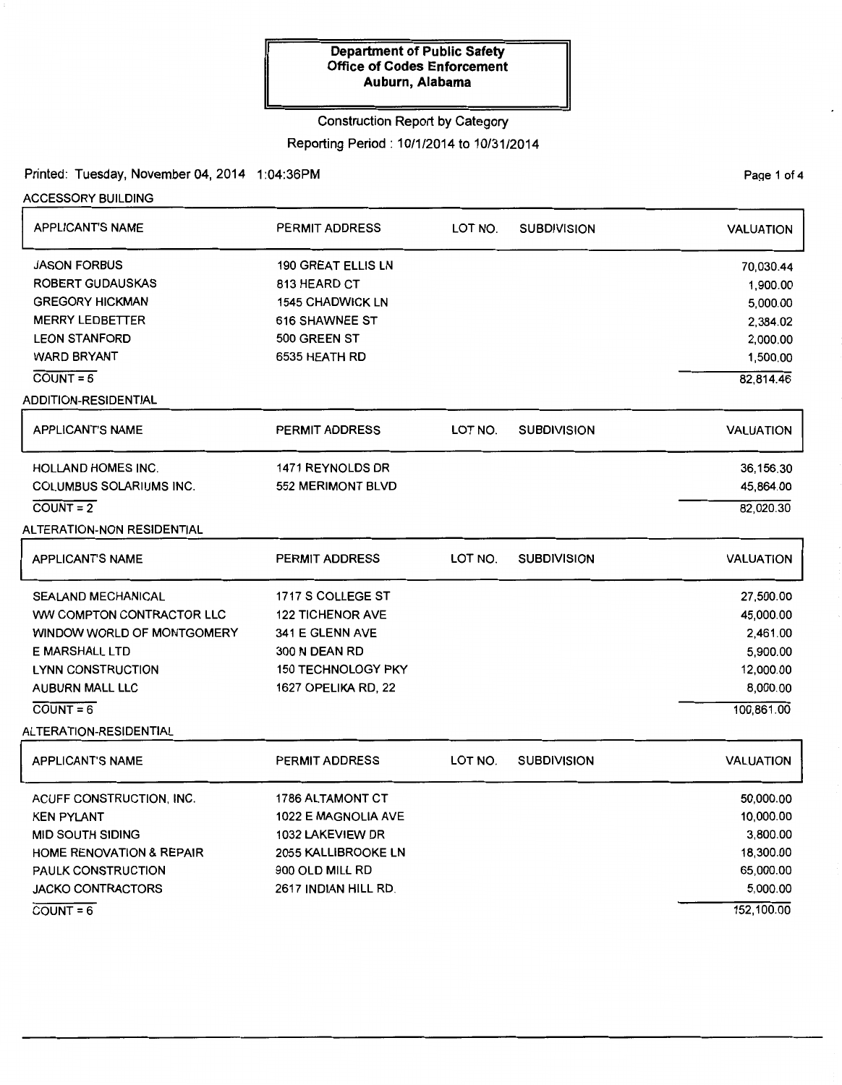### Construction Report by Category

Reporting Period: 10/1/2014 to 10/31/2014

Printed: Tuesday, November 04, 2014 1:04:36PM

ACCESSORY BUILDING

| <b>APPLICANT'S NAME</b>             | PERMIT ADDRESS            | LOT NO. | <b>SUBDIVISION</b> | <b>VALUATION</b> |
|-------------------------------------|---------------------------|---------|--------------------|------------------|
| <b>JASON FORBUS</b>                 | <b>190 GREAT ELLIS LN</b> |         |                    | 70,030.44        |
| <b>ROBERT GUDAUSKAS</b>             | 813 HEARD CT              |         |                    | 1,900.00         |
| <b>GREGORY HICKMAN</b>              | <b>1545 CHADWICK LN</b>   |         |                    | 5,000.00         |
| <b>MERRY LEDBETTER</b>              | 616 SHAWNEE ST            |         |                    | 2,384.02         |
| <b>LEON STANFORD</b>                | 500 GREEN ST              |         |                    | 2,000.00         |
| <b>WARD BRYANT</b>                  | 6535 HEATH RD             |         |                    | 1,500.00         |
| $COUNT = 6$                         |                           |         |                    | 82,814.46        |
| ADDITION-RESIDENTIAL                |                           |         |                    |                  |
| <b>APPLICANT'S NAME</b>             | <b>PERMIT ADDRESS</b>     | LOT NO. | <b>SUBDIVISION</b> | <b>VALUATION</b> |
| HOLLAND HOMES INC.                  | 1471 REYNOLDS DR          |         |                    | 36,156.30        |
| COLUMBUS SOLARIUMS INC.             | 552 MERIMONT BLVD         |         |                    | 45,864.00        |
| $COUNT = 2$                         |                           |         |                    | 82,020.30        |
| ALTERATION-NON RESIDENTIAL          |                           |         |                    |                  |
| <b>APPLICANT'S NAME</b>             | <b>PERMIT ADDRESS</b>     | LOT NO. | <b>SUBDIVISION</b> | <b>VALUATION</b> |
| <b>SEALAND MECHANICAL</b>           | 1717 S COLLEGE ST         |         |                    | 27,500.00        |
| WW COMPTON CONTRACTOR LLC           | <b>122 TICHENOR AVE</b>   |         |                    | 45,000.00        |
| WINDOW WORLD OF MONTGOMERY          | 341 E GLENN AVE           |         |                    | 2,461.00         |
| E MARSHALL LTD                      | 300 N DEAN RD             |         |                    | 5,900.00         |
| <b>LYNN CONSTRUCTION</b>            | <b>150 TECHNOLOGY PKY</b> |         |                    | 12,000.00        |
| AUBURN MALL LLC                     | 1627 OPELIKA RD, 22       |         |                    | 8,000.00         |
| $COUNT = 6$                         |                           |         |                    | 100,861.00       |
| ALTERATION-RESIDENTIAL              |                           |         |                    |                  |
| <b>APPLICANT'S NAME</b>             | <b>PERMIT ADDRESS</b>     | LOT NO. | <b>SUBDIVISION</b> | <b>VALUATION</b> |
| ACUFF CONSTRUCTION, INC.            | <b>1786 ALTAMONT CT</b>   |         |                    | 50,000.00        |
| <b>KEN PYLANT</b>                   | 1022 E MAGNOLIA AVE       |         |                    | 10,000.00        |
| <b>MID SOUTH SIDING</b>             | 1032 LAKEVIEW DR          |         |                    | 3,800.00         |
| <b>HOME RENOVATION &amp; REPAIR</b> | 2055 KALLIBROOKE LN       |         |                    | 18,300.00        |
| PAULK CONSTRUCTION                  | 900 OLD MILL RD           |         |                    | 65,000.00        |
| <b>JACKO CONTRACTORS</b>            | 2617 INDIAN HILL RD.      |         |                    | 5,000.00         |
| $COUNT = 6$                         |                           |         |                    | 152,100.00       |

Page 1 of 4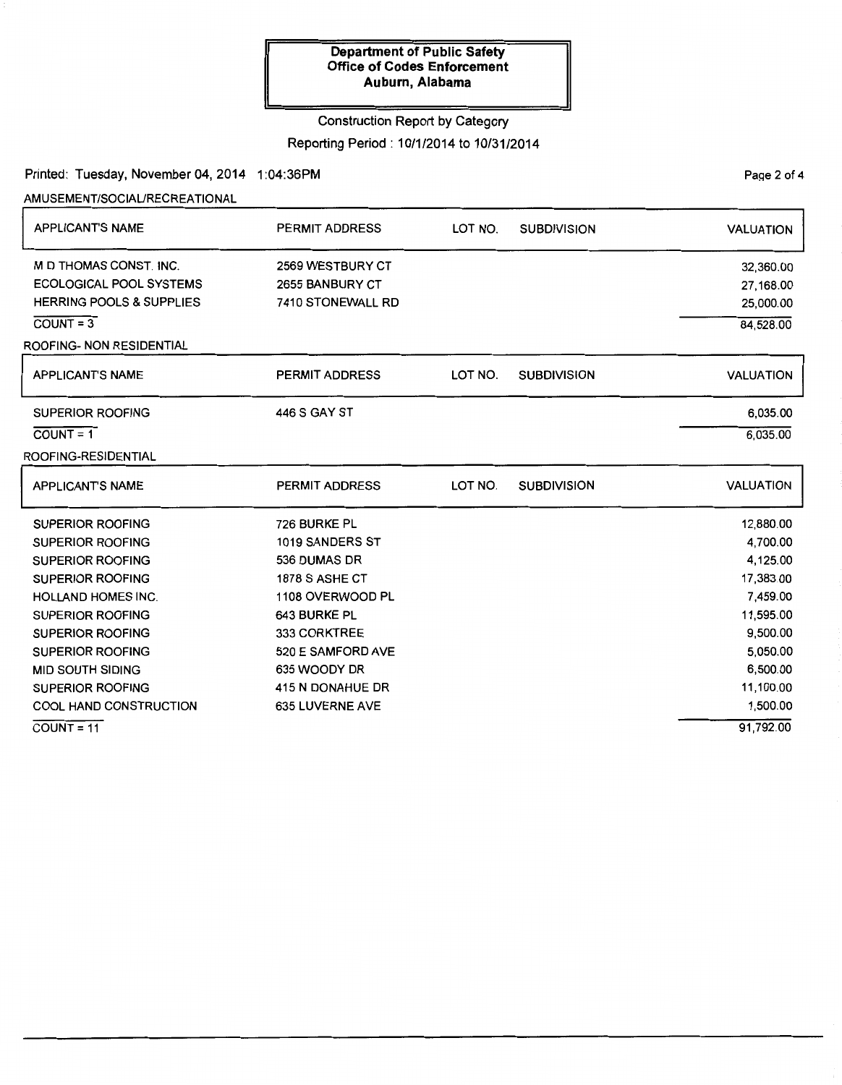### Construction Report by Category

### Reporting Period: 10/1/2014 to 10/31/2014

### Printed: Tuesday, November 04, 2014 1:04:36PM

AMUSEMENT/SOCIAURECREATIONAL

| <b>APPLICANT'S NAME</b>                                                                                        | <b>PERMIT ADDRESS</b>                                    | LOT NO. | <b>SUBDIVISION</b> | <b>VALUATION</b>                    |
|----------------------------------------------------------------------------------------------------------------|----------------------------------------------------------|---------|--------------------|-------------------------------------|
| M D THOMAS CONST. INC.<br><b>ECOLOGICAL POOL SYSTEMS</b><br><b>HERRING POOLS &amp; SUPPLIES</b><br>$COUNT = 3$ | 2569 WESTBURY CT<br>2655 BANBURY CT<br>7410 STONEWALL RD |         |                    | 32,360.00<br>27,168.00<br>25,000.00 |
| ROOFING- NON RESIDENTIAL                                                                                       |                                                          |         |                    | 84,528.00                           |
| <b>APPLICANT'S NAME</b>                                                                                        | <b>PERMIT ADDRESS</b>                                    | LOT NO. | <b>SUBDIVISION</b> | <b>VALUATION</b>                    |
| <b>SUPERIOR ROOFING</b>                                                                                        | <b>446 S GAY ST</b>                                      |         |                    | 6,035.00                            |
| $\overline{COUNT} = 1$                                                                                         |                                                          |         |                    | 6,035.00                            |
| ROOFING-RESIDENTIAL                                                                                            |                                                          |         |                    |                                     |
| <b>APPLICANT'S NAME</b>                                                                                        | <b>PERMIT ADDRESS</b>                                    | LOT NO. | <b>SUBDIVISION</b> | <b>VALUATION</b>                    |
| <b>SUPERIOR ROOFING</b>                                                                                        | 726 BURKE PL                                             |         |                    | 12,880.00                           |
| <b>SUPERIOR ROOFING</b>                                                                                        | 1019 SANDERS ST                                          |         |                    | 4,700.00                            |
| <b>SUPERIOR ROOFING</b>                                                                                        | 536 DUMAS DR                                             |         |                    | 4,125.00                            |
| <b>SUPERIOR ROOFING</b>                                                                                        | <b>1878 S ASHE CT</b>                                    |         |                    | 17,383.00                           |
| <b>HOLLAND HOMES INC.</b>                                                                                      | 1108 OVERWOOD PL                                         |         |                    | 7,459.00                            |
| <b>SUPERIOR ROOFING</b>                                                                                        | 643 BURKE PL                                             |         |                    | 11,595.00                           |
| <b>SUPERIOR ROOFING</b>                                                                                        | 333 CORKTREE                                             |         |                    | 9,500.00                            |
| <b>SUPERIOR ROOFING</b>                                                                                        | 520 E SAMFORD AVE                                        |         |                    | 5,050.00                            |
| <b>MID SOUTH SIDING</b>                                                                                        | 635 WOODY DR                                             |         |                    | 6,500.00                            |
| <b>SUPERIOR ROOFING</b>                                                                                        | 415 N DONAHUE DR                                         |         |                    | 11,100.00                           |
| <b>COOL HAND CONSTRUCTION</b>                                                                                  | 635 LUVERNE AVE                                          |         |                    | 1,500.00                            |
| $COVNT = 11$                                                                                                   |                                                          |         |                    | 91,792.00                           |

PaQe 2 of 4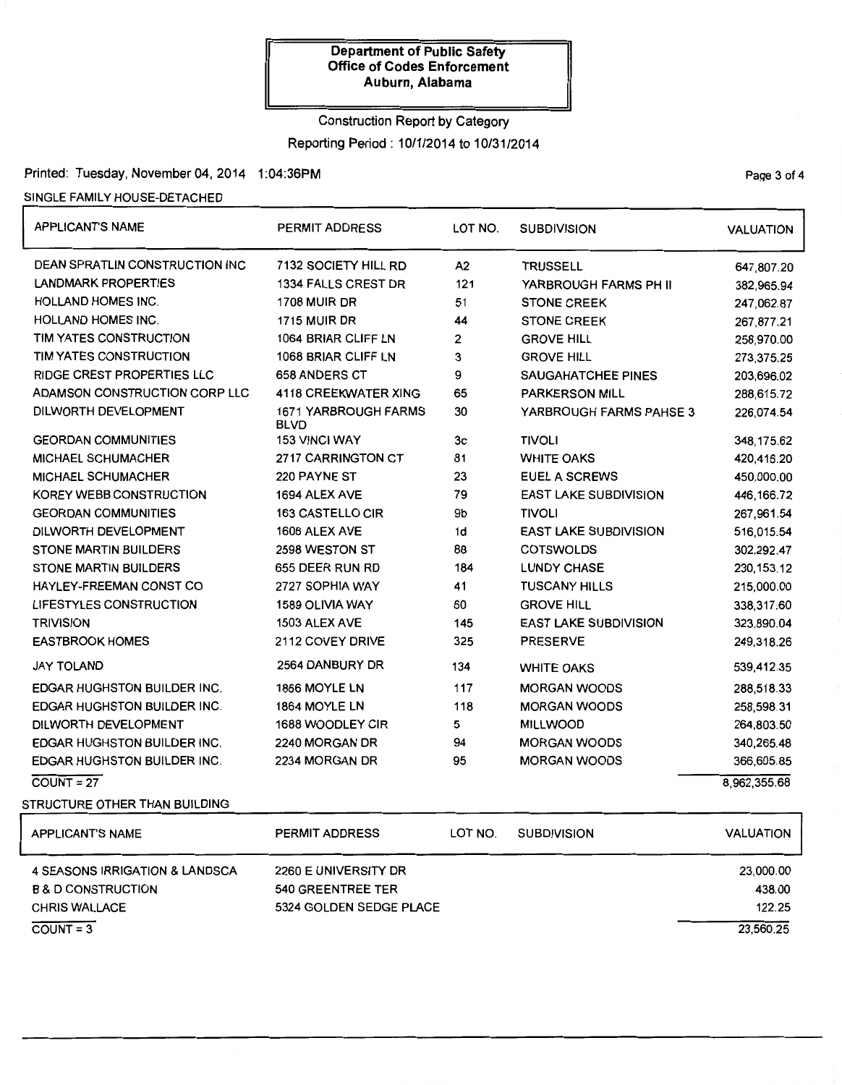# Construction Report by Category

Reporting Period: 10/1/2014 to 10/31/2014

## Printed: Tuesday, November 04, 2014 1:04:36PM example 20 of 4

### SINGLE FAMILY HOUSE-DETACHED

| <b>APPLICANT'S NAME</b>               | <b>PERMIT ADDRESS</b>               | LOT NO.                   | <b>SUBDIVISION</b>           | <b>VALUATION</b> |
|---------------------------------------|-------------------------------------|---------------------------|------------------------------|------------------|
| <b>DEAN SPRATLIN CONSTRUCTION INC</b> | 7132 SOCIETY HILL RD                | A2                        | <b>TRUSSELL</b>              | 647,807.20       |
| <b>LANDMARK PROPERTIES</b>            | 1334 FALLS CREST DR                 | 121                       | YARBROUGH FARMS PH II        | 382,965.94       |
| <b>HOLLAND HOMES INC.</b>             | <b>1708 MUIR DR</b>                 | 51                        | <b>STONE CREEK</b>           | 247,062.87       |
| <b>HOLLAND HOMES INC.</b>             | <b>1715 MUIR DR</b>                 | 44                        | <b>STONE CREEK</b>           | 267,877.21       |
| TIM YATES CONSTRUCTION                | 1064 BRIAR CLIFF LN                 | 2                         | <b>GROVE HILL</b>            | 258,970.00       |
| TIM YATES CONSTRUCTION                | 1068 BRIAR CLIFF LN                 | 3                         | <b>GROVE HILL</b>            | 273,375.25       |
| <b>RIDGE CREST PROPERTIES LLC</b>     | <b>658 ANDERS CT</b>                | 9                         | <b>SAUGAHATCHEE PINES</b>    | 203,696.02       |
| ADAMSON CONSTRUCTION CORP LLC         | 4118 CREEKWATER XING                | 65                        | <b>PARKERSON MILL</b>        | 288,615.72       |
| DILWORTH DEVELOPMENT                  | 1671 YARBROUGH FARMS<br><b>BLVD</b> | 30                        | YARBROUGH FARMS PAHSE 3      | 226,074.54       |
| <b>GEORDAN COMMUNITIES</b>            | <b>153 VINCI WAY</b>                | 3c                        | <b>TIVOLI</b>                | 348,175.62       |
| <b>MICHAEL SCHUMACHER</b>             | 2717 CARRINGTON CT                  | 81                        | <b>WHITE OAKS</b>            | 420,416.20       |
| <b>MICHAEL SCHUMACHER</b>             | 220 PAYNE ST                        | 23                        | EUEL A SCREWS                | 450,000.00       |
| KOREY WEBB CONSTRUCTION               | 1694 ALEX AVE                       | 79                        | <b>EAST LAKE SUBDIVISION</b> | 446,166.72       |
| <b>GEORDAN COMMUNITIES</b>            | <b>163 CASTELLO CIR</b>             | 9b                        | <b>TIVOLI</b>                | 267,961.54       |
| DILWORTH DEVELOPMENT                  | 1606 ALEX AVE                       | 1d                        | <b>EAST LAKE SUBDIVISION</b> | 516,015.54       |
| <b>STONE MARTIN BUILDERS</b>          | 2598 WESTON ST                      | 88                        | <b>COTSWOLDS</b>             | 302,292.47       |
| <b>STONE MARTIN BUILDERS</b>          | 655 DEER RUN RD                     | 184                       | <b>LUNDY CHASE</b>           | 230, 153. 12     |
| HAYLEY-FREEMAN CONST CO               | 2727 SOPHIA WAY                     | 41                        | <b>TUSCANY HILLS</b>         | 215,000.00       |
| LIFESTYLES CONSTRUCTION               | 1589 OLIVIA WAY                     | 60                        | <b>GROVE HILL</b>            | 338.317.60       |
| <b>TRIVISION</b>                      | 1503 ALEX AVE                       | 145                       | <b>EAST LAKE SUBDIVISION</b> | 323,890.04       |
| <b>EASTBROOK HOMES</b>                | 2112 COVEY DRIVE                    | 325<br><b>PRESERVE</b>    |                              | 249,318.26       |
| <b>JAY TOLAND</b>                     | 2564 DANBURY DR                     | 134                       | <b>WHITE OAKS</b>            | 539,412.35       |
| <b>EDGAR HUGHSTON BUILDER INC.</b>    | 1866 MOYLE LN                       | 117                       | <b>MORGAN WOODS</b>          | 288,518.33       |
| <b>EDGAR HUGHSTON BUILDER INC.</b>    | 1864 MOYLE LN                       | 118                       | <b>MORGAN WOODS</b>          | 258,598.31       |
| DILWORTH DEVELOPMENT                  | 1688 WOODLEY CIR                    | 5                         | <b>MILLWOOD</b>              | 264,803.50       |
| EDGAR HUGHSTON BUILDER INC.           | 2240 MORGAN DR                      | <b>MORGAN WOODS</b><br>94 |                              | 340,265.48       |
| EDGAR HUGHSTON BUILDER INC.           | 2234 MORGAN DR                      | 95                        | <b>MORGAN WOODS</b>          | 366,605.85       |
| $COUNT = 27$                          |                                     |                           |                              | 8,962,355.68     |
| STRUCTURE OTHER THAN BUILDING         |                                     |                           |                              |                  |
| <b>APPLICANT'S NAME</b>               | PERMIT ADDRESS                      | LOT NO.                   | <b>SUBDIVISION</b>           | <b>VALUATION</b> |
| 4 SEASONS IRRIGATION & LANDSCA        | 2260 E UNIVERSITY DR                |                           |                              | 23,000.00        |
| <b>B &amp; D CONSTRUCTION</b>         | 540 GREENTREE TER                   |                           |                              | 438.00           |
| <b>CHRIS WALLACE</b>                  | 5324 GOLDEN SEDGE PLACE             |                           |                              | 122.25           |
| $COUNT = 3$                           |                                     |                           |                              | 23,560.25        |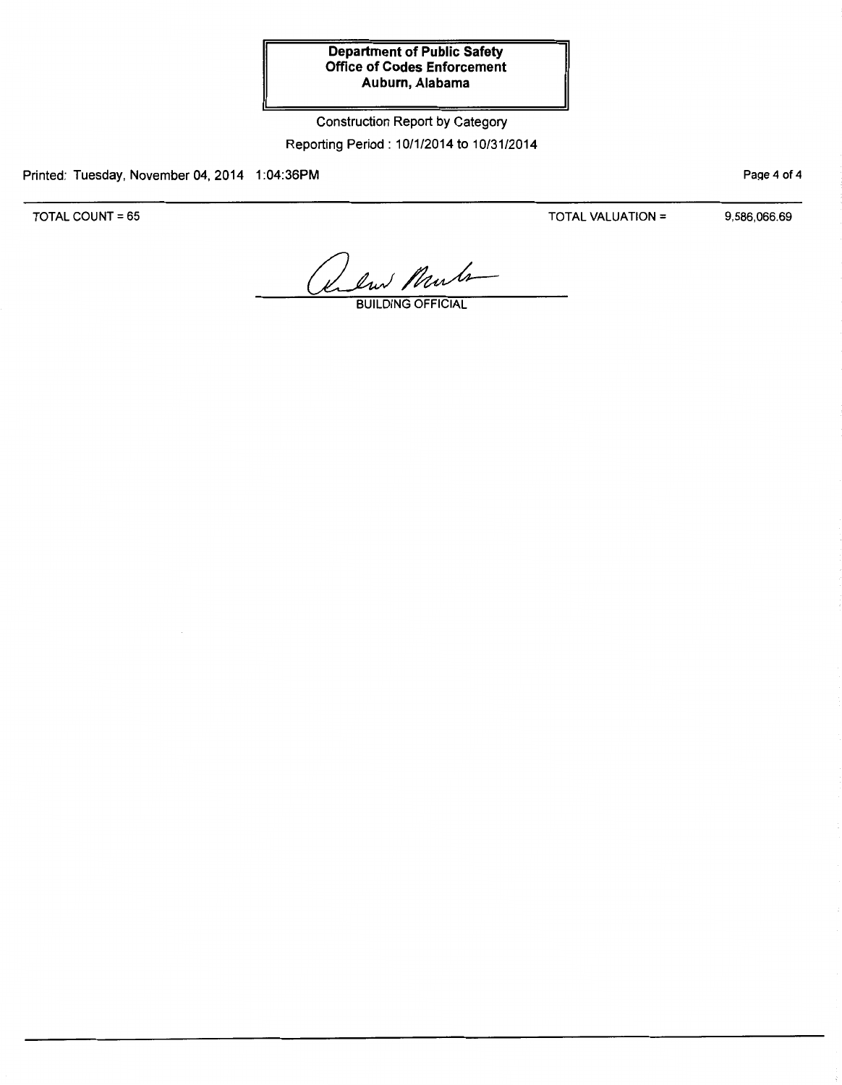Construction Report by Category Reporting Period : 10/1/2014 to 10/31/2014

Printed: Tuesday, November 04, 2014 1:04:36PM

TOTAL COUNT= 65

TOTAL VALUATION= 9,586,066.69

Page 4 of 4

Release Murle